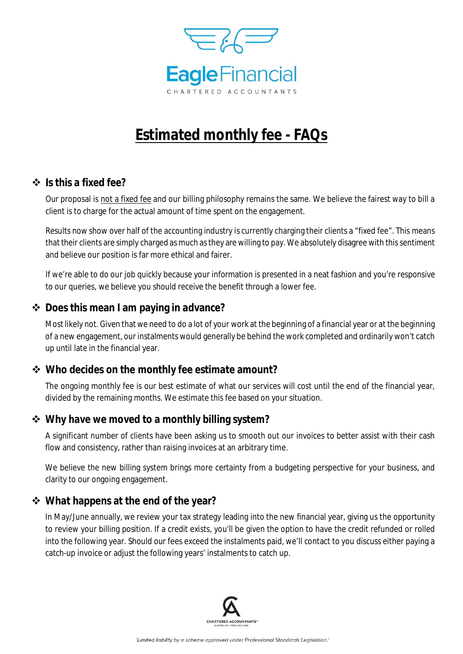

# **Estimated monthly fee - FAQs**

#### **❖** Is this a fixed fee?

Our proposal is not a fixed fee and our billing philosophy remains the same. We believe the fairest way to bill a client is to charge for the actual amount of time spent on the engagement.

Results now show over half of the accounting industry is currently charging their clients a "fixed fee". This means that their clients are simply charged as much as they are willing to pay. We absolutely disagree with this sentiment and believe our position is far more ethical and fairer.

If we're able to do our job quickly because your information is presented in a neat fashion and you're responsive to our queries, we believe you should receive the benefit through a lower fee.

#### **❖** Does this mean I am paying in advance?

Most likely not. Given that we need to do a lot of your work at the beginning of a financial year or at the beginning of a new engagement, our instalments would generally be behind the work completed and ordinarily won't catch up until late in the financial year.

#### $\diamond$  **Who decides on the monthly fee estimate amount?**

The ongoing monthly fee is our best estimate of what our services will cost until the end of the financial year, divided by the remaining months. We estimate this fee based on your situation.

#### $\diamond$  **Why have we moved to a monthly billing system?**

A significant number of clients have been asking us to smooth out our invoices to better assist with their cash flow and consistency, rather than raising invoices at an arbitrary time.

We believe the new billing system brings more certainty from a budgeting perspective for your business, and clarity to our ongoing engagement.

#### $\diamond$  What happens at the end of the year?

In May/June annually, we review your tax strategy leading into the new financial year, giving us the opportunity to review your billing position. If a credit exists, you'll be given the option to have the credit refunded or rolled into the following year. Should our fees exceed the instalments paid, we'll contact to you discuss either paying a catch-up invoice or adjust the following years' instalments to catch up.

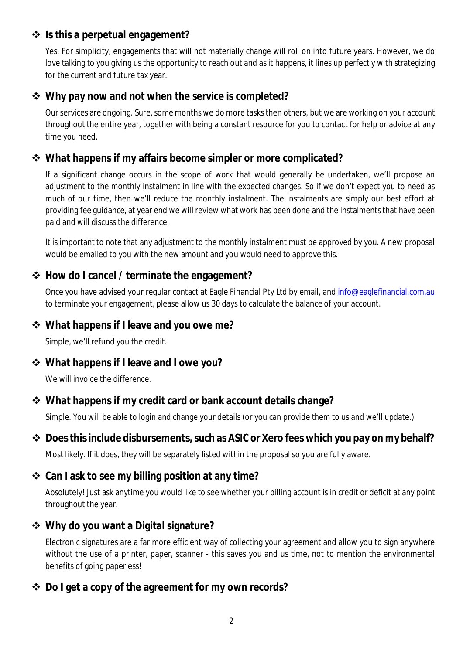## **❖** Is this a perpetual engagement?

Yes. For simplicity, engagements that will not materially change will roll on into future years. However, we do love talking to you giving us the opportunity to reach out and as it happens, it lines up perfectly with strategizing for the current and future tax year.

# $\diamond$  **Why pay now and not when the service is completed?**

Our services are ongoing. Sure, some months we do more tasks then others, but we are working on your account throughout the entire year, together with being a constant resource for you to contact for help or advice at any time you need.

# $\diamond$  What happens if my affairs become simpler or more complicated?

If a significant change occurs in the scope of work that would generally be undertaken, we'll propose an adjustment to the monthly instalment in line with the expected changes. So if we don't expect you to need as much of our time, then we'll reduce the monthly instalment. The instalments are simply our best effort at providing fee guidance, at year end we will review what work has been done and the instalments that have been paid and will discuss the difference.

It is important to note that any adjustment to the monthly instalment must be approved by you. A new proposal would be emailed to you with the new amount and you would need to approve this.

# v **How do I cancel / terminate the engagement?**

Once you have advised your regular contact at Eagle Financial Pty Ltd by email, and info@eaglefinancial.com.au to terminate your engagement, please allow us 30 days to calculate the balance of your account.

#### **❖** What happens if I leave and you owe me?

Simple, we'll refund you the credit.

# v **What happens if I leave and I owe you?**

We will invoice the difference.

# $\diamond$  **What happens if my credit card or bank account details change?**

Simple. You will be able to login and change your details (or you can provide them to us and we'll update.)

# v **Does this include disbursements, such as ASIC or Xero fees which you pay on my behalf?** Most likely. If it does, they will be separately listed within the proposal so you are fully aware.

# **❖** Can I ask to see my billing position at any time?

Absolutely! Just ask anytime you would like to see whether your billing account is in credit or deficit at any point throughout the year.

# v **Why do you want a Digital signature?**

Electronic signatures are a far more efficient way of collecting your agreement and allow you to sign anywhere without the use of a printer, paper, scanner - this saves you and us time, not to mention the environmental benefits of going paperless!

# v **Do I get a copy of the agreement for my own records?**